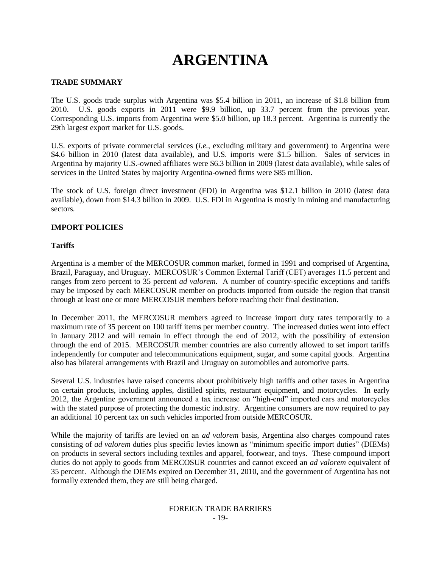# **ARGENTINA**

## **TRADE SUMMARY**

The U.S. goods trade surplus with Argentina was \$5.4 billion in 2011, an increase of \$1.8 billion from 2010. U.S. goods exports in 2011 were \$9.9 billion, up 33.7 percent from the previous year. Corresponding U.S. imports from Argentina were \$5.0 billion, up 18.3 percent. Argentina is currently the 29th largest export market for U.S. goods.

U.S. exports of private commercial services (*i.e.*, excluding military and government) to Argentina were \$4.6 billion in 2010 (latest data available), and U.S. imports were \$1.5 billion. Sales of services in Argentina by majority U.S.-owned affiliates were \$6.3 billion in 2009 (latest data available), while sales of services in the United States by majority Argentina-owned firms were \$85 million.

The stock of U.S. foreign direct investment (FDI) in Argentina was \$12.1 billion in 2010 (latest data available), down from \$14.3 billion in 2009. U.S. FDI in Argentina is mostly in mining and manufacturing sectors.

## **IMPORT POLICIES**

## **Tariffs**

Argentina is a member of the MERCOSUR common market, formed in 1991 and comprised of Argentina, Brazil, Paraguay, and Uruguay. MERCOSUR's Common External Tariff (CET) averages 11.5 percent and ranges from zero percent to 35 percent *ad valorem*. A number of country-specific exceptions and tariffs may be imposed by each MERCOSUR member on products imported from outside the region that transit through at least one or more MERCOSUR members before reaching their final destination.

In December 2011, the MERCOSUR members agreed to increase import duty rates temporarily to a maximum rate of 35 percent on 100 tariff items per member country. The increased duties went into effect in January 2012 and will remain in effect through the end of 2012, with the possibility of extension through the end of 2015. MERCOSUR member countries are also currently allowed to set import tariffs independently for computer and telecommunications equipment, sugar, and some capital goods. Argentina also has bilateral arrangements with Brazil and Uruguay on automobiles and automotive parts.

Several U.S. industries have raised concerns about prohibitively high tariffs and other taxes in Argentina on certain products, including apples, distilled spirits, restaurant equipment, and motorcycles. In early 2012, the Argentine government announced a tax increase on "high-end" imported cars and motorcycles with the stated purpose of protecting the domestic industry. Argentine consumers are now required to pay an additional 10 percent tax on such vehicles imported from outside MERCOSUR.

While the majority of tariffs are levied on an *ad valorem* basis, Argentina also charges compound rates consisting of *ad valorem* duties plus specific levies known as "minimum specific import duties" (DIEMs) on products in several sectors including textiles and apparel, footwear, and toys. These compound import duties do not apply to goods from MERCOSUR countries and cannot exceed an *ad valorem* equivalent of 35 percent. Although the DIEMs expired on December 31, 2010, and the government of Argentina has not formally extended them, they are still being charged.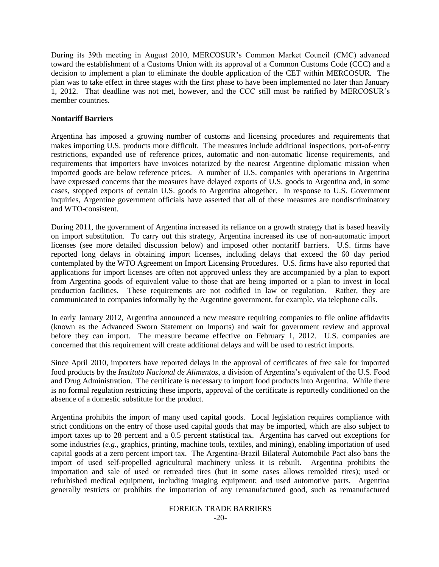During its 39th meeting in August 2010, MERCOSUR"s Common Market Council (CMC) advanced toward the establishment of a Customs Union with its approval of a Common Customs Code (CCC) and a decision to implement a plan to eliminate the double application of the CET within MERCOSUR. The plan was to take effect in three stages with the first phase to have been implemented no later than January 1, 2012. That deadline was not met, however, and the CCC still must be ratified by MERCOSUR"s member countries.

## **Nontariff Barriers**

Argentina has imposed a growing number of customs and licensing procedures and requirements that makes importing U.S. products more difficult. The measures include additional inspections, port-of-entry restrictions, expanded use of reference prices, automatic and non-automatic license requirements, and requirements that importers have invoices notarized by the nearest Argentine diplomatic mission when imported goods are below reference prices. A number of U.S. companies with operations in Argentina have expressed concerns that the measures have delayed exports of U.S. goods to Argentina and, in some cases, stopped exports of certain U.S. goods to Argentina altogether. In response to U.S. Government inquiries, Argentine government officials have asserted that all of these measures are nondiscriminatory and WTO-consistent.

During 2011, the government of Argentina increased its reliance on a growth strategy that is based heavily on import substitution. To carry out this strategy, Argentina increased its use of non-automatic import licenses (see more detailed discussion below) and imposed other nontariff barriers. U.S. firms have reported long delays in obtaining import licenses, including delays that exceed the 60 day period contemplated by the WTO Agreement on Import Licensing Procedures. U.S. firms have also reported that applications for import licenses are often not approved unless they are accompanied by a plan to export from Argentina goods of equivalent value to those that are being imported or a plan to invest in local production facilities. These requirements are not codified in law or regulation. Rather, they are communicated to companies informally by the Argentine government, for example, via telephone calls.

In early January 2012, Argentina announced a new measure requiring companies to file online affidavits (known as the Advanced Sworn Statement on Imports) and wait for government review and approval before they can import. The measure became effective on February 1, 2012. U.S. companies are concerned that this requirement will create additional delays and will be used to restrict imports.

Since April 2010, importers have reported delays in the approval of certificates of free sale for imported food products by the *Instituto Nacional de Alimentos*, a division of Argentina"s equivalent of the U.S. Food and Drug Administration. The certificate is necessary to import food products into Argentina. While there is no formal regulation restricting these imports, approval of the certificate is reportedly conditioned on the absence of a domestic substitute for the product.

Argentina prohibits the import of many used capital goods. Local legislation requires compliance with strict conditions on the entry of those used capital goods that may be imported, which are also subject to import taxes up to 28 percent and a 0.5 percent statistical tax. Argentina has carved out exceptions for some industries (*e.g.*, graphics, printing, machine tools, textiles, and mining), enabling importation of used capital goods at a zero percent import tax. The Argentina-Brazil Bilateral Automobile Pact also bans the import of used self-propelled agricultural machinery unless it is rebuilt. Argentina prohibits the importation and sale of used or retreaded tires (but in some cases allows remolded tires); used or refurbished medical equipment, including imaging equipment; and used automotive parts. Argentina generally restricts or prohibits the importation of any remanufactured good, such as remanufactured

# FOREIGN TRADE BARRIERS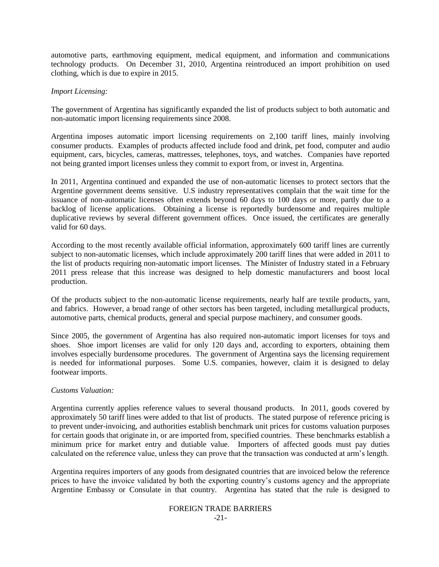automotive parts, earthmoving equipment, medical equipment, and information and communications technology products. On December 31, 2010, Argentina reintroduced an import prohibition on used clothing, which is due to expire in 2015.

#### *Import Licensing:*

The government of Argentina has significantly expanded the list of products subject to both automatic and non-automatic import licensing requirements since 2008.

Argentina imposes automatic import licensing requirements on 2,100 tariff lines, mainly involving consumer products. Examples of products affected include food and drink, pet food, computer and audio equipment, cars, bicycles, cameras, mattresses, telephones, toys, and watches. Companies have reported not being granted import licenses unless they commit to export from, or invest in, Argentina.

In 2011, Argentina continued and expanded the use of non-automatic licenses to protect sectors that the Argentine government deems sensitive. U.S industry representatives complain that the wait time for the issuance of non-automatic licenses often extends beyond 60 days to 100 days or more, partly due to a backlog of license applications. Obtaining a license is reportedly burdensome and requires multiple duplicative reviews by several different government offices. Once issued, the certificates are generally valid for 60 days.

According to the most recently available official information, approximately 600 tariff lines are currently subject to non-automatic licenses, which include approximately 200 tariff lines that were added in 2011 to the list of products requiring non-automatic import licenses. The Minister of Industry stated in a February 2011 press release that this increase was designed to help domestic manufacturers and boost local production.

Of the products subject to the non-automatic license requirements, nearly half are textile products, yarn, and fabrics. However, a broad range of other sectors has been targeted, including metallurgical products, automotive parts, chemical products, general and special purpose machinery, and consumer goods.

Since 2005, the government of Argentina has also required non-automatic import licenses for toys and shoes. Shoe import licenses are valid for only 120 days and, according to exporters, obtaining them involves especially burdensome procedures. The government of Argentina says the licensing requirement is needed for informational purposes. Some U.S. companies, however, claim it is designed to delay footwear imports.

#### *Customs Valuation:*

Argentina currently applies reference values to several thousand products. In 2011, goods covered by approximately 50 tariff lines were added to that list of products. The stated purpose of reference pricing is to prevent under-invoicing, and authorities establish benchmark unit prices for customs valuation purposes for certain goods that originate in, or are imported from, specified countries. These benchmarks establish a minimum price for market entry and dutiable value. Importers of affected goods must pay duties calculated on the reference value, unless they can prove that the transaction was conducted at arm"s length.

Argentina requires importers of any goods from designated countries that are invoiced below the reference prices to have the invoice validated by both the exporting country"s customs agency and the appropriate Argentine Embassy or Consulate in that country. Argentina has stated that the rule is designed to

## FOREIGN TRADE BARRIERS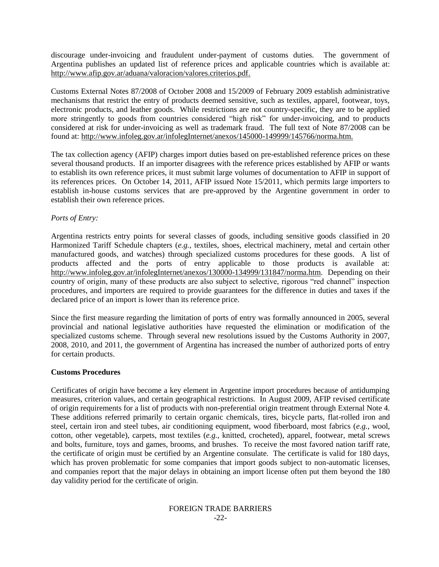discourage under-invoicing and fraudulent under-payment of customs duties. The government of Argentina publishes an updated list of reference prices and applicable countries which is available at: [http://www.afip.gov.ar/aduana/valoracion/valores.criterios.pdf.](http://www.afip.gov.ar/aduana/valoracion/valores.criterios.pdf)

Customs External Notes 87/2008 of October 2008 and 15/2009 of February 2009 establish administrative mechanisms that restrict the entry of products deemed sensitive, such as textiles, apparel, footwear, toys, electronic products, and leather goods. While restrictions are not country-specific, they are to be applied more stringently to goods from countries considered "high risk" for under-invoicing, and to products considered at risk for under-invoicing as well as trademark fraud. The full text of Note 87/2008 can be found at: [http://www.infoleg.gov.ar/infolegInternet/anexos/145000-149999/145766/norma.htm.](http://www.infoleg.gov.ar/infolegInternet/anexos/145000-149999/145766/norma.htm)

The tax collection agency (AFIP) charges import duties based on pre-established reference prices on these several thousand products. If an importer disagrees with the reference prices established by AFIP or wants to establish its own reference prices, it must submit large volumes of documentation to AFIP in support of its references prices. On October 14, 2011, AFIP issued Note 15/2011, which permits large importers to establish in-house customs services that are pre-approved by the Argentine government in order to establish their own reference prices.

## *Ports of Entry:*

Argentina restricts entry points for several classes of goods, including sensitive goods classified in 20 Harmonized Tariff Schedule chapters (*e.g.*, textiles, shoes, electrical machinery, metal and certain other manufactured goods, and watches) through specialized customs procedures for these goods. A list of products affected and the ports of entry applicable to those products is available at: [http://www.infoleg.gov.ar/infolegInternet/anexos/130000-134999/131847/norma.htm.](http://www.infoleg.gov.ar/infolegInternet/anexos/130000-134999/131847/norma.htm) Depending on their country of origin, many of these products are also subject to selective, rigorous "red channel" inspection procedures, and importers are required to provide guarantees for the difference in duties and taxes if the declared price of an import is lower than its reference price.

Since the first measure regarding the limitation of ports of entry was formally announced in 2005, several provincial and national legislative authorities have requested the elimination or modification of the specialized customs scheme. Through several new resolutions issued by the Customs Authority in 2007, 2008, 2010, and 2011, the government of Argentina has increased the number of authorized ports of entry for certain products.

## **Customs Procedures**

Certificates of origin have become a key element in Argentine import procedures because of antidumping measures, criterion values, and certain geographical restrictions. In August 2009, AFIP revised certificate of origin requirements for a list of products with non-preferential origin treatment through External Note 4. These additions referred primarily to certain organic chemicals, tires, bicycle parts, flat-rolled iron and steel, certain iron and steel tubes, air conditioning equipment, wood fiberboard, most fabrics (*e.g.*, wool, cotton, other vegetable), carpets, most textiles (*e.g.*, knitted, crocheted), apparel, footwear, metal screws and bolts, furniture, toys and games, brooms, and brushes. To receive the most favored nation tariff rate, the certificate of origin must be certified by an Argentine consulate. The certificate is valid for 180 days, which has proven problematic for some companies that import goods subject to non-automatic licenses, and companies report that the major delays in obtaining an import license often put them beyond the 180 day validity period for the certificate of origin.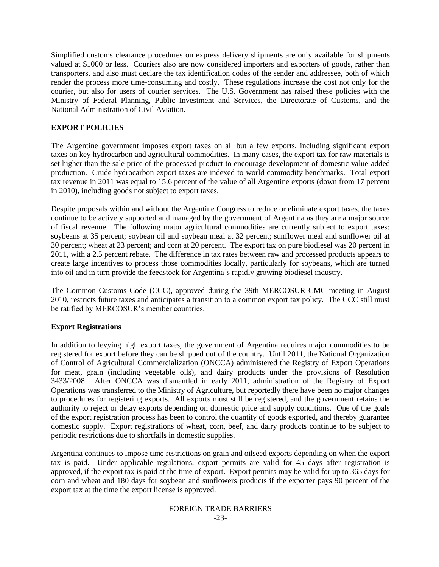Simplified customs clearance procedures on express delivery shipments are only available for shipments valued at \$1000 or less. Couriers also are now considered importers and exporters of goods, rather than transporters, and also must declare the tax identification codes of the sender and addressee, both of which render the process more time-consuming and costly. These regulations increase the cost not only for the courier, but also for users of courier services. The U.S. Government has raised these policies with the Ministry of Federal Planning, Public Investment and Services, the Directorate of Customs, and the National Administration of Civil Aviation.

## **EXPORT POLICIES**

The Argentine government imposes export taxes on all but a few exports, including significant export taxes on key hydrocarbon and agricultural commodities. In many cases, the export tax for raw materials is set higher than the sale price of the processed product to encourage development of domestic value-added production. Crude hydrocarbon export taxes are indexed to world commodity benchmarks. Total export tax revenue in 2011 was equal to 15.6 percent of the value of all Argentine exports (down from 17 percent in 2010), including goods not subject to export taxes.

Despite proposals within and without the Argentine Congress to reduce or eliminate export taxes, the taxes continue to be actively supported and managed by the government of Argentina as they are a major source of fiscal revenue. The following major agricultural commodities are currently subject to export taxes: soybeans at 35 percent; soybean oil and soybean meal at 32 percent; sunflower meal and sunflower oil at 30 percent; wheat at 23 percent; and corn at 20 percent. The export tax on pure biodiesel was 20 percent in 2011, with a 2.5 percent rebate. The difference in tax rates between raw and processed products appears to create large incentives to process those commodities locally, particularly for soybeans, which are turned into oil and in turn provide the feedstock for Argentina"s rapidly growing biodiesel industry.

The Common Customs Code (CCC), approved during the 39th MERCOSUR CMC meeting in August 2010, restricts future taxes and anticipates a transition to a common export tax policy. The CCC still must be ratified by MERCOSUR's member countries.

## **Export Registrations**

In addition to levying high export taxes, the government of Argentina requires major commodities to be registered for export before they can be shipped out of the country. Until 2011, the National Organization of Control of Agricultural Commercialization (ONCCA) administered the Registry of Export Operations for meat, grain (including vegetable oils), and dairy products under the provisions of Resolution 3433/2008. After ONCCA was dismantled in early 2011, administration of the Registry of Export Operations was transferred to the Ministry of Agriculture, but reportedly there have been no major changes to procedures for registering exports. All exports must still be registered, and the government retains the authority to reject or delay exports depending on domestic price and supply conditions. One of the goals of the export registration process has been to control the quantity of goods exported, and thereby guarantee domestic supply. Export registrations of wheat, corn, beef, and dairy products continue to be subject to periodic restrictions due to shortfalls in domestic supplies.

Argentina continues to impose time restrictions on grain and oilseed exports depending on when the export tax is paid. Under applicable regulations, export permits are valid for  $4\overline{5}$  days after registration is approved, if the export tax is paid at the time of export. Export permits may be valid for up to 365 days for corn and wheat and 180 days for soybean and sunflowers products if the exporter pays 90 percent of the export tax at the time the export license is approved.

#### FOREIGN TRADE BARRIERS -23-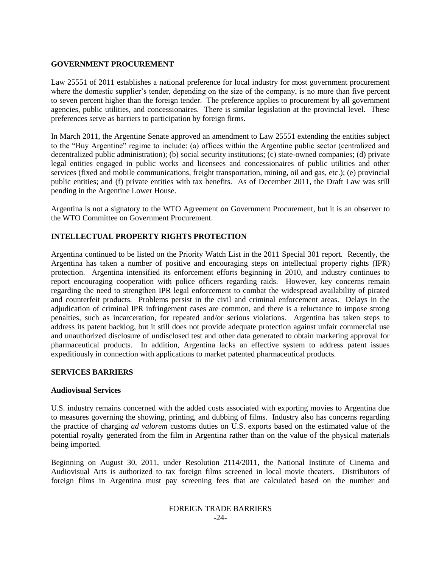## **GOVERNMENT PROCUREMENT**

Law 25551 of 2011 establishes a national preference for local industry for most government procurement where the domestic supplier's tender, depending on the size of the company, is no more than five percent to seven percent higher than the foreign tender. The preference applies to procurement by all government agencies, public utilities, and concessionaires. There is similar legislation at the provincial level. These preferences serve as barriers to participation by foreign firms.

In March 2011, the Argentine Senate approved an amendment to Law 25551 extending the entities subject to the "Buy Argentine" regime to include: (a) offices within the Argentine public sector (centralized and decentralized public administration); (b) social security institutions; (c) state-owned companies; (d) private legal entities engaged in public works and licensees and concessionaires of public utilities and other services (fixed and mobile communications, freight transportation, mining, oil and gas, etc.); (e) provincial public entities; and (f) private entities with tax benefits. As of December 2011, the Draft Law was still pending in the Argentine Lower House.

Argentina is not a signatory to the WTO Agreement on Government Procurement, but it is an observer to the WTO Committee on Government Procurement.

## **INTELLECTUAL PROPERTY RIGHTS PROTECTION**

Argentina continued to be listed on the Priority Watch List in the 2011 Special 301 report. Recently, the Argentina has taken a number of positive and encouraging steps on intellectual property rights (IPR) protection. Argentina intensified its enforcement efforts beginning in 2010, and industry continues to report encouraging cooperation with police officers regarding raids. However, key concerns remain regarding the need to strengthen IPR legal enforcement to combat the widespread availability of pirated and counterfeit products. Problems persist in the civil and criminal enforcement areas. Delays in the adjudication of criminal IPR infringement cases are common, and there is a reluctance to impose strong penalties, such as incarceration, for repeated and/or serious violations. Argentina has taken steps to address its patent backlog, but it still does not provide adequate protection against unfair commercial use and unauthorized disclosure of undisclosed test and other data generated to obtain marketing approval for pharmaceutical products. In addition, Argentina lacks an effective system to address patent issues expeditiously in connection with applications to market patented pharmaceutical products.

## **SERVICES BARRIERS**

## **Audiovisual Services**

U.S. industry remains concerned with the added costs associated with exporting movies to Argentina due to measures governing the showing, printing, and dubbing of films. Industry also has concerns regarding the practice of charging *ad valorem* customs duties on U.S. exports based on the estimated value of the potential royalty generated from the film in Argentina rather than on the value of the physical materials being imported.

Beginning on August 30, 2011, under Resolution 2114/2011, the National Institute of Cinema and Audiovisual Arts is authorized to tax foreign films screened in local movie theaters. Distributors of foreign films in Argentina must pay screening fees that are calculated based on the number and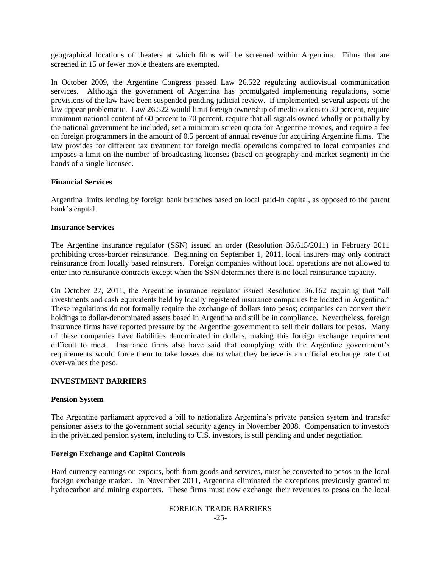geographical locations of theaters at which films will be screened within Argentina. Films that are screened in 15 or fewer movie theaters are exempted.

In October 2009, the Argentine Congress passed Law 26.522 regulating audiovisual communication services. Although the government of Argentina has promulgated implementing regulations, some provisions of the law have been suspended pending judicial review. If implemented, several aspects of the law appear problematic. Law 26.522 would limit foreign ownership of media outlets to 30 percent, require minimum national content of 60 percent to 70 percent, require that all signals owned wholly or partially by the national government be included, set a minimum screen quota for Argentine movies, and require a fee on foreign programmers in the amount of 0.5 percent of annual revenue for acquiring Argentine films. The law provides for different tax treatment for foreign media operations compared to local companies and imposes a limit on the number of broadcasting licenses (based on geography and market segment) in the hands of a single licensee.

#### **Financial Services**

Argentina limits lending by foreign bank branches based on local paid-in capital, as opposed to the parent bank"s capital.

#### **Insurance Services**

The Argentine insurance regulator (SSN) issued an order (Resolution 36.615/2011) in February 2011 prohibiting cross-border reinsurance. Beginning on September 1, 2011, local insurers may only contract reinsurance from locally based reinsurers. Foreign companies without local operations are not allowed to enter into reinsurance contracts except when the SSN determines there is no local reinsurance capacity.

On October 27, 2011, the Argentine insurance regulator issued Resolution 36.162 requiring that "all investments and cash equivalents held by locally registered insurance companies be located in Argentina." These regulations do not formally require the exchange of dollars into pesos; companies can convert their holdings to dollar-denominated assets based in Argentina and still be in compliance. Nevertheless, foreign insurance firms have reported pressure by the Argentine government to sell their dollars for pesos. Many of these companies have liabilities denominated in dollars, making this foreign exchange requirement difficult to meet. Insurance firms also have said that complying with the Argentine government's requirements would force them to take losses due to what they believe is an official exchange rate that over-values the peso.

#### **INVESTMENT BARRIERS**

#### **Pension System**

The Argentine parliament approved a bill to nationalize Argentina"s private pension system and transfer pensioner assets to the government social security agency in November 2008. Compensation to investors in the privatized pension system, including to U.S. investors, is still pending and under negotiation.

#### **Foreign Exchange and Capital Controls**

Hard currency earnings on exports, both from goods and services, must be converted to pesos in the local foreign exchange market. In November 2011, Argentina eliminated the exceptions previously granted to hydrocarbon and mining exporters. These firms must now exchange their revenues to pesos on the local

#### FOREIGN TRADE BARRIERS -25-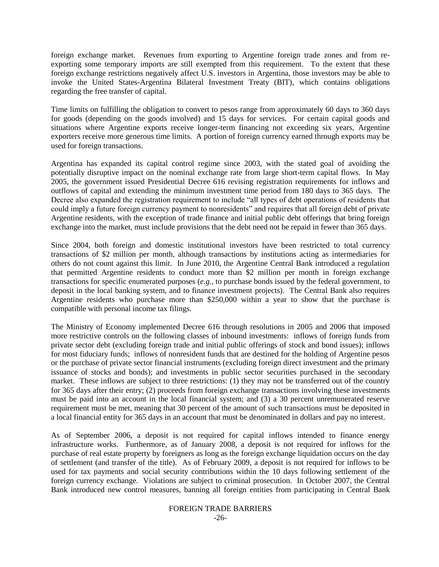foreign exchange market. Revenues from exporting to Argentine foreign trade zones and from reexporting some temporary imports are still exempted from this requirement. To the extent that these foreign exchange restrictions negatively affect U.S. investors in Argentina, those investors may be able to invoke the United States-Argentina Bilateral Investment Treaty (BIT), which contains obligations regarding the free transfer of capital.

Time limits on fulfilling the obligation to convert to pesos range from approximately 60 days to 360 days for goods (depending on the goods involved) and 15 days for services. For certain capital goods and situations where Argentine exports receive longer-term financing not exceeding six years, Argentine exporters receive more generous time limits. A portion of foreign currency earned through exports may be used for foreign transactions.

Argentina has expanded its capital control regime since 2003, with the stated goal of avoiding the potentially disruptive impact on the nominal exchange rate from large short-term capital flows. In May 2005, the government issued Presidential Decree 616 revising registration requirements for inflows and outflows of capital and extending the minimum investment time period from 180 days to 365 days. The Decree also expanded the registration requirement to include "all types of debt operations of residents that could imply a future foreign currency payment to nonresidents" and requires that all foreign debt of private Argentine residents, with the exception of trade finance and initial public debt offerings that bring foreign exchange into the market, must include provisions that the debt need not be repaid in fewer than 365 days.

Since 2004, both foreign and domestic institutional investors have been restricted to total currency transactions of \$2 million per month, although transactions by institutions acting as intermediaries for others do not count against this limit. In June 2010, the Argentine Central Bank introduced a regulation that permitted Argentine residents to conduct more than \$2 million per month in foreign exchange transactions for specific enumerated purposes (*e.g.*, to purchase bonds issued by the federal government, to deposit in the local banking system, and to finance investment projects). The Central Bank also requires Argentine residents who purchase more than \$250,000 within a year to show that the purchase is compatible with personal income tax filings.

The Ministry of Economy implemented Decree 616 through resolutions in 2005 and 2006 that imposed more restrictive controls on the following classes of inbound investments: inflows of foreign funds from private sector debt (excluding foreign trade and initial public offerings of stock and bond issues); inflows for most fiduciary funds; inflows of nonresident funds that are destined for the holding of Argentine pesos or the purchase of private sector financial instruments (excluding foreign direct investment and the primary issuance of stocks and bonds); and investments in public sector securities purchased in the secondary market. These inflows are subject to three restrictions: (1) they may not be transferred out of the country for 365 days after their entry; (2) proceeds from foreign exchange transactions involving these investments must be paid into an account in the local financial system; and (3) a 30 percent unremunerated reserve requirement must be met, meaning that 30 percent of the amount of such transactions must be deposited in a local financial entity for 365 days in an account that must be denominated in dollars and pay no interest.

As of September 2006, a deposit is not required for capital inflows intended to finance energy infrastructure works. Furthermore, as of January 2008, a deposit is not required for inflows for the purchase of real estate property by foreigners as long as the foreign exchange liquidation occurs on the day of settlement (and transfer of the title). As of February 2009, a deposit is not required for inflows to be used for tax payments and social security contributions within the 10 days following settlement of the foreign currency exchange. Violations are subject to criminal prosecution. In October 2007, the Central Bank introduced new control measures, banning all foreign entities from participating in Central Bank

# FOREIGN TRADE BARRIERS